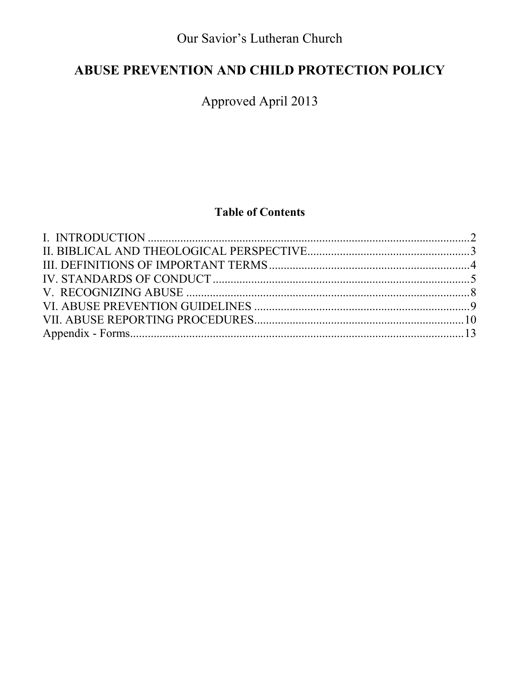Our Savior's Lutheran Church

# ABUSE PREVENTION AND CHILD PROTECTION POLICY

Approved April 2013

# **Table of Contents**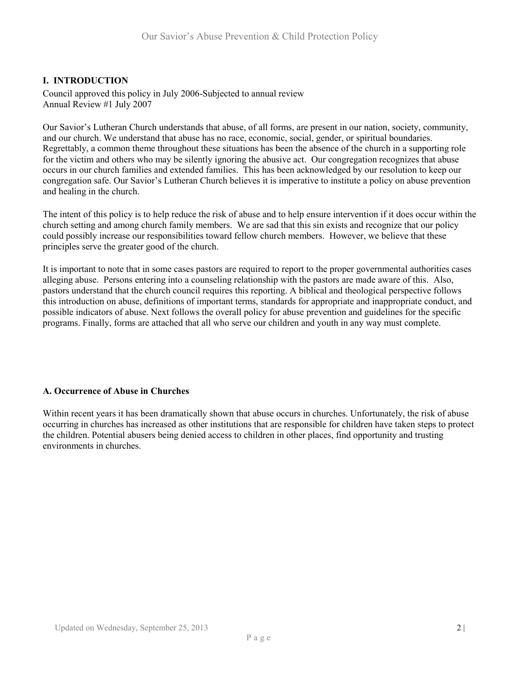## **I. INTRODUCTION**

Council approved this policy in July 2006-Subjected to annual review Annual Review #1 July 2007

Our Savior's Lutheran Church understands that abuse, of all forms, are present in our nation, society, community, and our church. We understand that abuse has no race, economic, social, gender, or spiritual boundaries. Regrettably, a common theme throughout these situations has been the absence of the church in a supporting role for the victim and others who may be silently ignoring the abusive act. Our congregation recognizes that abuse occurs in our church families and extended families. This has been acknowledged by our resolution to keep our congregation safe. Our Savior's Lutheran Church believes it is imperative to institute a policy on abuse prevention and healing in the church.

The intent of this policy is to help reduce the risk of abuse and to help ensure intervention if it does occur within the church setting and among church family members. We are sad that this sin exists and recognize that our policy could possibly increase our responsibilities toward fellow church members. However, we believe that these principles serve the greater good of the church.

It is important to note that in some cases pastors are required to report to the proper governmental authorities cases alleging abuse. Persons entering into a counseling relationship with the pastors are made aware of this. Also, pastors understand that the church council requires this reporting. A biblical and theological perspective follows this introduction on abuse, definitions of important terms, standards for appropriate and inappropriate conduct, and possible indicators of abuse. Next follows the overall policy for abuse prevention and guidelines for the specific programs. Finally, forms are attached that all who serve our children and youth in any way must complete.

#### **A. Occurrence of Abuse in Churches**

Within recent years it has been dramatically shown that abuse occurs in churches. Unfortunately, the risk of abuse occurring in churches has increased as other institutions that are responsible for children have taken steps to protect the children. Potential abusers being denied access to children in other places, find opportunity and trusting environments in churches.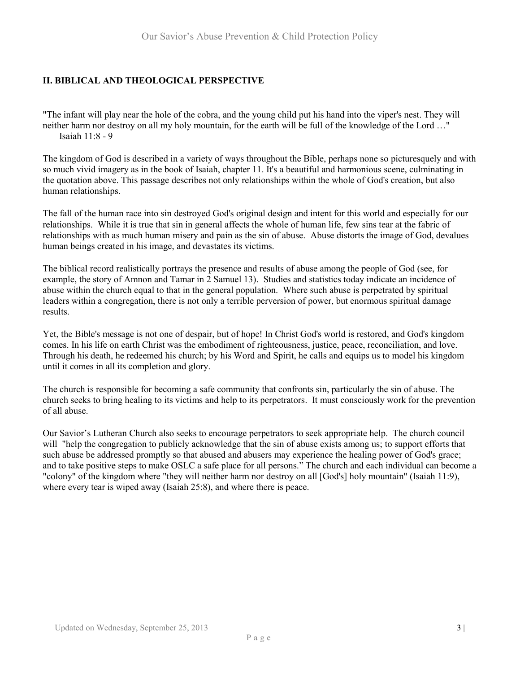# **II. BIBLICAL AND THEOLOGICAL PERSPECTIVE**

"The infant will play near the hole of the cobra, and the young child put his hand into the viper's nest. They will neither harm nor destroy on all my holy mountain, for the earth will be full of the knowledge of the Lord …" Isaiah 11:8 - 9

The kingdom of God is described in a variety of ways throughout the Bible, perhaps none so picturesquely and with so much vivid imagery as in the book of Isaiah, chapter 11. It's a beautiful and harmonious scene, culminating in the quotation above. This passage describes not only relationships within the whole of God's creation, but also human relationships.

The fall of the human race into sin destroyed God's original design and intent for this world and especially for our relationships. While it is true that sin in general affects the whole of human life, few sins tear at the fabric of relationships with as much human misery and pain as the sin of abuse. Abuse distorts the image of God, devalues human beings created in his image, and devastates its victims.

The biblical record realistically portrays the presence and results of abuse among the people of God (see, for example, the story of Amnon and Tamar in 2 Samuel 13). Studies and statistics today indicate an incidence of abuse within the church equal to that in the general population. Where such abuse is perpetrated by spiritual leaders within a congregation, there is not only a terrible perversion of power, but enormous spiritual damage results.

Yet, the Bible's message is not one of despair, but of hope! In Christ God's world is restored, and God's kingdom comes. In his life on earth Christ was the embodiment of righteousness, justice, peace, reconciliation, and love. Through his death, he redeemed his church; by his Word and Spirit, he calls and equips us to model his kingdom until it comes in all its completion and glory.

The church is responsible for becoming a safe community that confronts sin, particularly the sin of abuse. The church seeks to bring healing to its victims and help to its perpetrators. It must consciously work for the prevention of all abuse.

Our Savior's Lutheran Church also seeks to encourage perpetrators to seek appropriate help. The church council will "help the congregation to publicly acknowledge that the sin of abuse exists among us; to support efforts that such abuse be addressed promptly so that abused and abusers may experience the healing power of God's grace; and to take positive steps to make OSLC a safe place for all persons." The church and each individual can become a "colony" of the kingdom where "they will neither harm nor destroy on all [God's] holy mountain" (Isaiah 11:9), where every tear is wiped away (Isaiah 25:8), and where there is peace.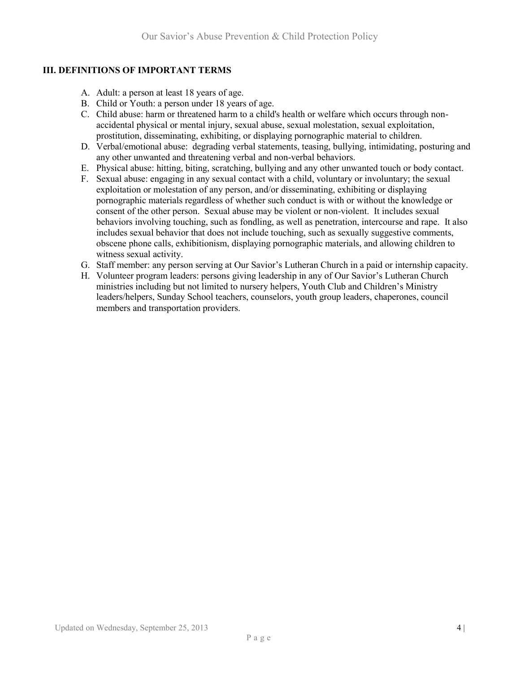# **III. DEFINITIONS OF IMPORTANT TERMS**

- A. Adult: a person at least 18 years of age.
- B. Child or Youth: a person under 18 years of age.
- C. Child abuse: harm or threatened harm to a child's health or welfare which occurs through nonaccidental physical or mental injury, sexual abuse, sexual molestation, sexual exploitation, prostitution, disseminating, exhibiting, or displaying pornographic material to children.
- D. Verbal/emotional abuse: degrading verbal statements, teasing, bullying, intimidating, posturing and any other unwanted and threatening verbal and non-verbal behaviors.
- E. Physical abuse: hitting, biting, scratching, bullying and any other unwanted touch or body contact.
- F. Sexual abuse: engaging in any sexual contact with a child, voluntary or involuntary; the sexual exploitation or molestation of any person, and/or disseminating, exhibiting or displaying pornographic materials regardless of whether such conduct is with or without the knowledge or consent of the other person. Sexual abuse may be violent or non-violent. It includes sexual behaviors involving touching, such as fondling, as well as penetration, intercourse and rape. It also includes sexual behavior that does not include touching, such as sexually suggestive comments, obscene phone calls, exhibitionism, displaying pornographic materials, and allowing children to witness sexual activity.
- G. Staff member: any person serving at Our Savior's Lutheran Church in a paid or internship capacity.
- H. Volunteer program leaders: persons giving leadership in any of Our Savior's Lutheran Church ministries including but not limited to nursery helpers, Youth Club and Children's Ministry leaders/helpers, Sunday School teachers, counselors, youth group leaders, chaperones, council members and transportation providers.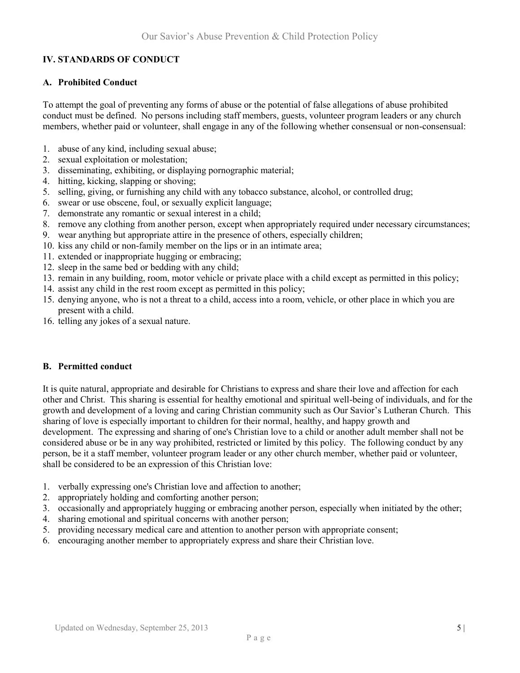# **IV. STANDARDS OF CONDUCT**

#### **A. Prohibited Conduct**

To attempt the goal of preventing any forms of abuse or the potential of false allegations of abuse prohibited conduct must be defined. No persons including staff members, guests, volunteer program leaders or any church members, whether paid or volunteer, shall engage in any of the following whether consensual or non-consensual:

- 1. abuse of any kind, including sexual abuse;
- 2. sexual exploitation or molestation;
- 3. disseminating, exhibiting, or displaying pornographic material;
- 4. hitting, kicking, slapping or shoving;
- 5. selling, giving, or furnishing any child with any tobacco substance, alcohol, or controlled drug;
- 6. swear or use obscene, foul, or sexually explicit language;
- 7. demonstrate any romantic or sexual interest in a child;
- 8. remove any clothing from another person, except when appropriately required under necessary circumstances;
- 9. wear anything but appropriate attire in the presence of others, especially children;
- 10. kiss any child or non-family member on the lips or in an intimate area;
- 11. extended or inappropriate hugging or embracing;
- 12. sleep in the same bed or bedding with any child;
- 13. remain in any building, room, motor vehicle or private place with a child except as permitted in this policy;
- 14. assist any child in the rest room except as permitted in this policy;
- 15. denying anyone, who is not a threat to a child, access into a room, vehicle, or other place in which you are present with a child.
- 16. telling any jokes of a sexual nature.

#### **B. Permitted conduct**

It is quite natural, appropriate and desirable for Christians to express and share their love and affection for each other and Christ. This sharing is essential for healthy emotional and spiritual well-being of individuals, and for the growth and development of a loving and caring Christian community such as Our Savior's Lutheran Church. This sharing of love is especially important to children for their normal, healthy, and happy growth and development. The expressing and sharing of one's Christian love to a child or another adult member shall not be considered abuse or be in any way prohibited, restricted or limited by this policy. The following conduct by any person, be it a staff member, volunteer program leader or any other church member, whether paid or volunteer, shall be considered to be an expression of this Christian love:

- 1. verbally expressing one's Christian love and affection to another;
- 2. appropriately holding and comforting another person;
- 3. occasionally and appropriately hugging or embracing another person, especially when initiated by the other;
- 4. sharing emotional and spiritual concerns with another person;
- 5. providing necessary medical care and attention to another person with appropriate consent;
- 6. encouraging another member to appropriately express and share their Christian love.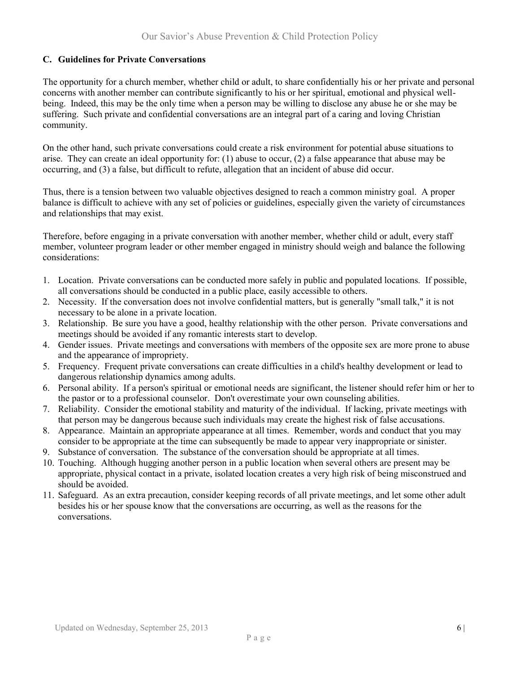## **C. Guidelines for Private Conversations**

The opportunity for a church member, whether child or adult, to share confidentially his or her private and personal concerns with another member can contribute significantly to his or her spiritual, emotional and physical wellbeing. Indeed, this may be the only time when a person may be willing to disclose any abuse he or she may be suffering. Such private and confidential conversations are an integral part of a caring and loving Christian community.

On the other hand, such private conversations could create a risk environment for potential abuse situations to arise. They can create an ideal opportunity for: (1) abuse to occur, (2) a false appearance that abuse may be occurring, and (3) a false, but difficult to refute, allegation that an incident of abuse did occur.

Thus, there is a tension between two valuable objectives designed to reach a common ministry goal. A proper balance is difficult to achieve with any set of policies or guidelines, especially given the variety of circumstances and relationships that may exist.

Therefore, before engaging in a private conversation with another member, whether child or adult, every staff member, volunteer program leader or other member engaged in ministry should weigh and balance the following considerations:

- 1. Location. Private conversations can be conducted more safely in public and populated locations. If possible, all conversations should be conducted in a public place, easily accessible to others.
- 2. Necessity. If the conversation does not involve confidential matters, but is generally "small talk," it is not necessary to be alone in a private location.
- 3. Relationship. Be sure you have a good, healthy relationship with the other person. Private conversations and meetings should be avoided if any romantic interests start to develop.
- 4. Gender issues. Private meetings and conversations with members of the opposite sex are more prone to abuse and the appearance of impropriety.
- 5. Frequency. Frequent private conversations can create difficulties in a child's healthy development or lead to dangerous relationship dynamics among adults.
- 6. Personal ability. If a person's spiritual or emotional needs are significant, the listener should refer him or her to the pastor or to a professional counselor. Don't overestimate your own counseling abilities.
- 7. Reliability. Consider the emotional stability and maturity of the individual. If lacking, private meetings with that person may be dangerous because such individuals may create the highest risk of false accusations.
- 8. Appearance. Maintain an appropriate appearance at all times. Remember, words and conduct that you may consider to be appropriate at the time can subsequently be made to appear very inappropriate or sinister.
- 9. Substance of conversation. The substance of the conversation should be appropriate at all times.
- 10. Touching. Although hugging another person in a public location when several others are present may be appropriate, physical contact in a private, isolated location creates a very high risk of being misconstrued and should be avoided.
- 11. Safeguard. As an extra precaution, consider keeping records of all private meetings, and let some other adult besides his or her spouse know that the conversations are occurring, as well as the reasons for the conversations.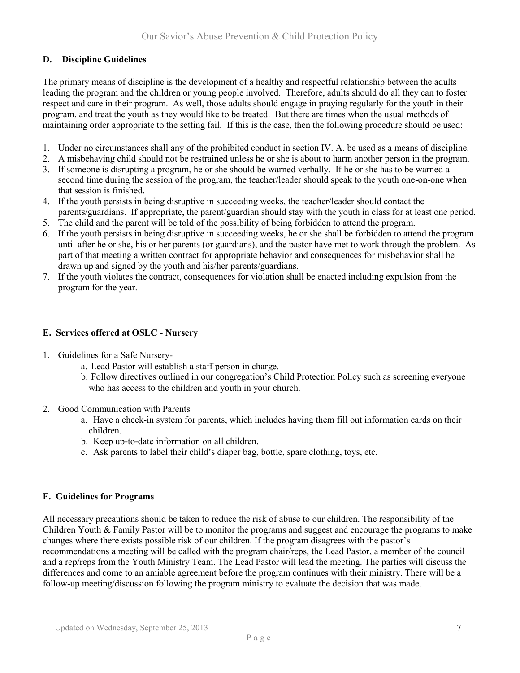# **D. Discipline Guidelines**

The primary means of discipline is the development of a healthy and respectful relationship between the adults leading the program and the children or young people involved. Therefore, adults should do all they can to foster respect and care in their program. As well, those adults should engage in praying regularly for the youth in their program, and treat the youth as they would like to be treated. But there are times when the usual methods of maintaining order appropriate to the setting fail. If this is the case, then the following procedure should be used:

- 1. Under no circumstances shall any of the prohibited conduct in section IV. A. be used as a means of discipline.
- 2. A misbehaving child should not be restrained unless he or she is about to harm another person in the program.
- 3. If someone is disrupting a program, he or she should be warned verbally. If he or she has to be warned a second time during the session of the program, the teacher/leader should speak to the youth one-on-one when that session is finished.
- 4. If the youth persists in being disruptive in succeeding weeks, the teacher/leader should contact the parents/guardians. If appropriate, the parent/guardian should stay with the youth in class for at least one period.
- 5. The child and the parent will be told of the possibility of being forbidden to attend the program.
- 6. If the youth persists in being disruptive in succeeding weeks, he or she shall be forbidden to attend the program until after he or she, his or her parents (or guardians), and the pastor have met to work through the problem. As part of that meeting a written contract for appropriate behavior and consequences for misbehavior shall be drawn up and signed by the youth and his/her parents/guardians.
- 7. If the youth violates the contract, consequences for violation shall be enacted including expulsion from the program for the year.

## **E. Services offered at OSLC - Nursery**

- 1. Guidelines for a Safe Nursery
	- a. Lead Pastor will establish a staff person in charge.
	- b. Follow directives outlined in our congregation's Child Protection Policy such as screening everyone who has access to the children and youth in your church.
- 2. Good Communication with Parents
	- a. Have a check-in system for parents, which includes having them fill out information cards on their children.
	- b. Keep up-to-date information on all children.
	- c. Ask parents to label their child's diaper bag, bottle, spare clothing, toys, etc.

#### **F. Guidelines for Programs**

All necessary precautions should be taken to reduce the risk of abuse to our children. The responsibility of the Children Youth & Family Pastor will be to monitor the programs and suggest and encourage the programs to make changes where there exists possible risk of our children. If the program disagrees with the pastor's recommendations a meeting will be called with the program chair/reps, the Lead Pastor, a member of the council and a rep/reps from the Youth Ministry Team. The Lead Pastor will lead the meeting. The parties will discuss the differences and come to an amiable agreement before the program continues with their ministry. There will be a follow-up meeting/discussion following the program ministry to evaluate the decision that was made.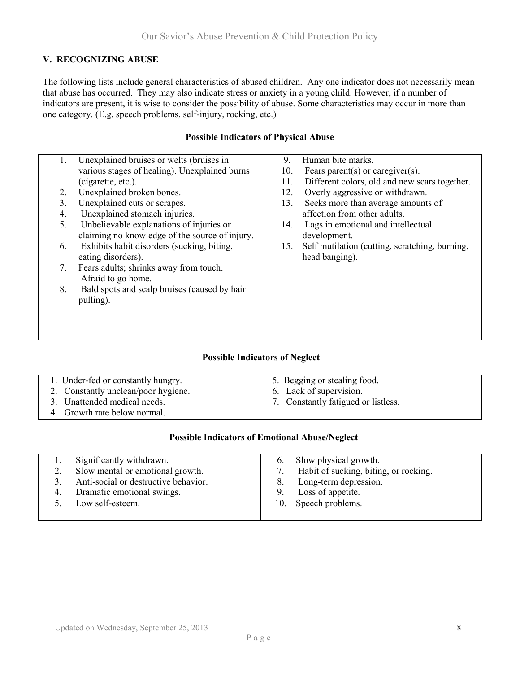# **V. RECOGNIZING ABUSE**

The following lists include general characteristics of abused children. Any one indicator does not necessarily mean that abuse has occurred. They may also indicate stress or anxiety in a young child. However, if a number of indicators are present, it is wise to consider the possibility of abuse. Some characteristics may occur in more than one category. (E.g. speech problems, self-injury, rocking, etc.)

#### **Possible Indicators of Physical Abuse**

| 1.                             | Unexplained bruises or welts (bruises in       | 9.  | Human bite marks.                              |
|--------------------------------|------------------------------------------------|-----|------------------------------------------------|
|                                | various stages of healing). Unexplained burns  | 10. | Fears parent(s) or caregiver(s).               |
|                                | (cigarette, etc.).                             | 11. | Different colors, old and new scars together.  |
| 2.                             | Unexplained broken bones.                      | 12. | Overly aggressive or withdrawn.                |
|                                |                                                |     |                                                |
| 3 <sub>1</sub>                 | Unexplained cuts or scrapes.                   | 13. | Seeks more than average amounts of             |
| 4.                             | Unexplained stomach injuries.                  |     | affection from other adults.                   |
| 5.                             | Unbelievable explanations of injuries or       | 14. | Lags in emotional and intellectual             |
|                                | claiming no knowledge of the source of injury. |     | development.                                   |
| 6.                             | Exhibits habit disorders (sucking, biting,     | 15. | Self mutilation (cutting, scratching, burning, |
|                                | eating disorders).                             |     | head banging).                                 |
| $7_{\scriptscriptstyle{\sim}}$ | Fears adults; shrinks away from touch.         |     |                                                |
|                                | Afraid to go home.                             |     |                                                |
|                                |                                                |     |                                                |
| 8.                             | Bald spots and scalp bruises (caused by hair   |     |                                                |
|                                | pulling).                                      |     |                                                |
|                                |                                                |     |                                                |
|                                |                                                |     |                                                |
|                                |                                                |     |                                                |
|                                |                                                |     |                                                |

#### **Possible Indicators of Neglect**

| 1. Under-fed or constantly hungry.  | 5. Begging or stealing food.        |
|-------------------------------------|-------------------------------------|
| 2. Constantly unclean/poor hygiene. | 6. Lack of supervision.             |
| 3. Unattended medical needs.        | 7. Constantly fatigued or listless. |
| 4. Growth rate below normal.        |                                     |
|                                     |                                     |

#### **Possible Indicators of Emotional Abuse/Neglect**

|    | Significantly withdrawn.             | Slow physical growth.<br>$\mathbf{b}$ . |
|----|--------------------------------------|-----------------------------------------|
|    | Slow mental or emotional growth.     | Habit of sucking, biting, or rocking.   |
|    | Anti-social or destructive behavior. | Long-term depression.<br>8.             |
| 4. | Dramatic emotional swings.           | Loss of appetite.<br>9.                 |
|    | Low self-esteem.                     | 10. Speech problems.                    |
|    |                                      |                                         |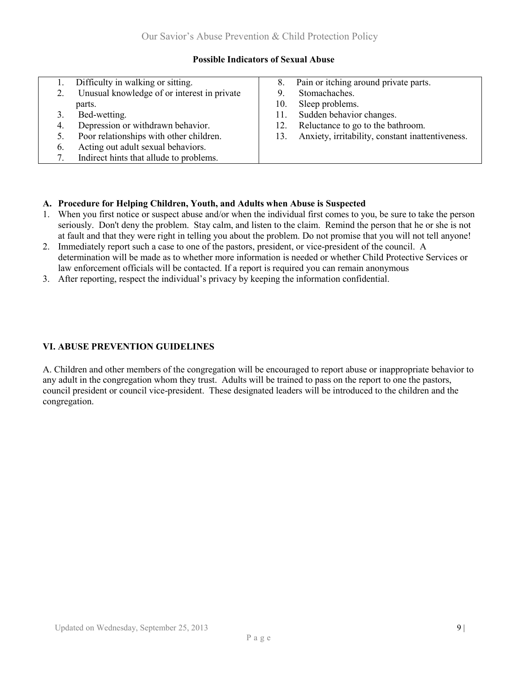#### **Possible Indicators of Sexual Abuse**

|    | Difficulty in walking or sitting.           |     | Pain or itching around private parts.            |
|----|---------------------------------------------|-----|--------------------------------------------------|
|    | Unusual knowledge of or interest in private |     | Stomachaches.                                    |
|    | parts.                                      | 10. | Sleep problems.                                  |
|    | Bed-wetting.                                | 11. | Sudden behavior changes.                         |
| 4. | Depression or withdrawn behavior.           | 12. | Reluctance to go to the bathroom.                |
|    | Poor relationships with other children.     | 13. | Anxiety, irritability, constant inattentiveness. |
| 6. | Acting out adult sexual behaviors.          |     |                                                  |
|    | Indirect hints that allude to problems.     |     |                                                  |

# **A. Procedure for Helping Children, Youth, and Adults when Abuse is Suspected**

- 1. When you first notice or suspect abuse and/or when the individual first comes to you, be sure to take the person seriously. Don't deny the problem. Stay calm, and listen to the claim. Remind the person that he or she is not at fault and that they were right in telling you about the problem. Do not promise that you will not tell anyone!
- 2. Immediately report such a case to one of the pastors, president, or vice-president of the council. A determination will be made as to whether more information is needed or whether Child Protective Services or law enforcement officials will be contacted. If a report is required you can remain anonymous
- 3. After reporting, respect the individual's privacy by keeping the information confidential.

#### **VI. ABUSE PREVENTION GUIDELINES**

A. Children and other members of the congregation will be encouraged to report abuse or inappropriate behavior to any adult in the congregation whom they trust. Adults will be trained to pass on the report to one the pastors, council president or council vice-president. These designated leaders will be introduced to the children and the congregation.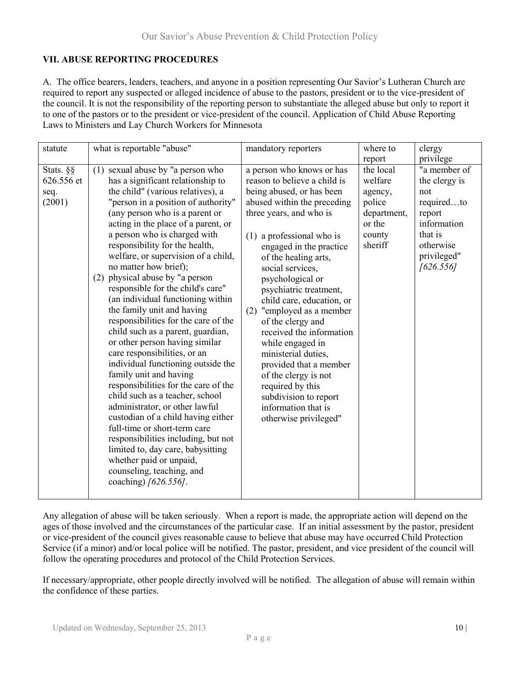# **VII. ABUSE REPORTING PROCEDURES**

A. The office bearers, leaders, teachers, and anyone in a position representing Our Savior's Lutheran Church are required to report any suspected or alleged incidence of abuse to the pastors, president or to the vice-president of the council. It is not the responsibility of the reporting person to substantiate the alleged abuse but only to report it to one of the pastors or to the president or vice-president of the council. Application of Child Abuse Reporting Laws to Ministers and Lay Church Workers for Minnesota

| statute                                   | what is reportable "abuse"                                                                                                                                                                                                                                                                                                                                                                                                                                                                                                                                                                                                                                                                                                                                                                                                                                                                                                                                                                                                                                                | mandatory reporters                                                                                                                                                                                                                                                                                                                                                                                                                                                                                                                                                                                     | where to                                                                                          | clergy                                                                                                                                       |
|-------------------------------------------|---------------------------------------------------------------------------------------------------------------------------------------------------------------------------------------------------------------------------------------------------------------------------------------------------------------------------------------------------------------------------------------------------------------------------------------------------------------------------------------------------------------------------------------------------------------------------------------------------------------------------------------------------------------------------------------------------------------------------------------------------------------------------------------------------------------------------------------------------------------------------------------------------------------------------------------------------------------------------------------------------------------------------------------------------------------------------|---------------------------------------------------------------------------------------------------------------------------------------------------------------------------------------------------------------------------------------------------------------------------------------------------------------------------------------------------------------------------------------------------------------------------------------------------------------------------------------------------------------------------------------------------------------------------------------------------------|---------------------------------------------------------------------------------------------------|----------------------------------------------------------------------------------------------------------------------------------------------|
| Stats. §§<br>626.556 et<br>seq.<br>(2001) | sexual abuse by "a person who<br>(1)<br>has a significant relationship to<br>the child" (various relatives), a<br>"person in a position of authority"<br>(any person who is a parent or<br>acting in the place of a parent, or<br>a person who is charged with<br>responsibility for the health,<br>welfare, or supervision of a child,<br>no matter how brief);<br>(2) physical abuse by "a person<br>responsible for the child's care"<br>(an individual functioning within<br>the family unit and having<br>responsibilities for the care of the<br>child such as a parent, guardian,<br>or other person having similar<br>care responsibilities, or an<br>individual functioning outside the<br>family unit and having<br>responsibilities for the care of the<br>child such as a teacher, school<br>administrator, or other lawful<br>custodian of a child having either<br>full-time or short-term care<br>responsibilities including, but not<br>limited to, day care, babysitting<br>whether paid or unpaid,<br>counseling, teaching, and<br>coaching) [626.556]. | a person who knows or has<br>reason to believe a child is<br>being abused, or has been<br>abused within the preceding<br>three years, and who is<br>(1) a professional who is<br>engaged in the practice<br>of the healing arts,<br>social services,<br>psychological or<br>psychiatric treatment,<br>child care, education, or<br>(2) "employed as a member<br>of the clergy and<br>received the information<br>while engaged in<br>ministerial duties,<br>provided that a member<br>of the clergy is not<br>required by this<br>subdivision to report<br>information that is<br>otherwise privileged" | report<br>the local<br>welfare<br>agency,<br>police<br>department,<br>or the<br>county<br>sheriff | privilege<br>"a member of<br>the clergy is<br>not<br>requiredto<br>report<br>information<br>that is<br>otherwise<br>privileged"<br>[626.556] |

Any allegation of abuse will be taken seriously. When a report is made, the appropriate action will depend on the ages of those involved and the circumstances of the particular case. If an initial assessment by the pastor, president or vice-president of the council gives reasonable cause to believe that abuse may have occurred Child Protection Service (if a minor) and/or local police will be notified. The pastor, president, and vice president of the council will follow the operating procedures and protocol of the Child Protection Services.

If necessary/appropriate, other people directly involved will be notified. The allegation of abuse will remain within the confidence of these parties.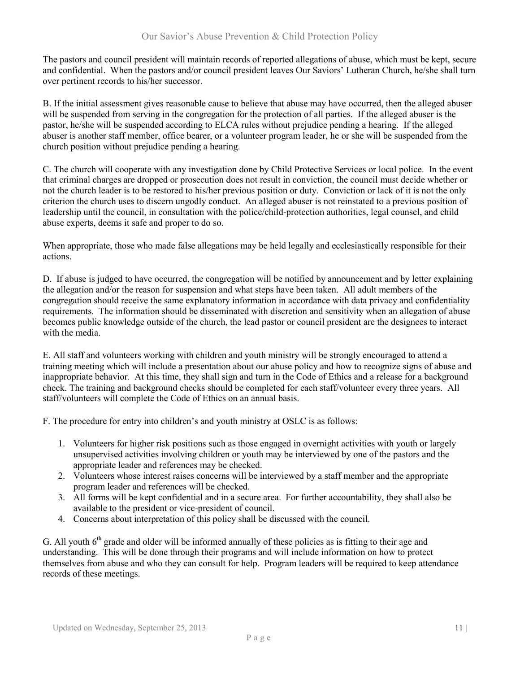The pastors and council president will maintain records of reported allegations of abuse, which must be kept, secure and confidential. When the pastors and/or council president leaves Our Saviors' Lutheran Church, he/she shall turn over pertinent records to his/her successor.

B. If the initial assessment gives reasonable cause to believe that abuse may have occurred, then the alleged abuser will be suspended from serving in the congregation for the protection of all parties. If the alleged abuser is the pastor, he/she will be suspended according to ELCA rules without prejudice pending a hearing. If the alleged abuser is another staff member, office bearer, or a volunteer program leader, he or she will be suspended from the church position without prejudice pending a hearing.

C. The church will cooperate with any investigation done by Child Protective Services or local police. In the event that criminal charges are dropped or prosecution does not result in conviction, the council must decide whether or not the church leader is to be restored to his/her previous position or duty. Conviction or lack of it is not the only criterion the church uses to discern ungodly conduct. An alleged abuser is not reinstated to a previous position of leadership until the council, in consultation with the police/child-protection authorities, legal counsel, and child abuse experts, deems it safe and proper to do so.

When appropriate, those who made false allegations may be held legally and ecclesiastically responsible for their actions.

D. If abuse is judged to have occurred, the congregation will be notified by announcement and by letter explaining the allegation and/or the reason for suspension and what steps have been taken. All adult members of the congregation should receive the same explanatory information in accordance with data privacy and confidentiality requirements. The information should be disseminated with discretion and sensitivity when an allegation of abuse becomes public knowledge outside of the church, the lead pastor or council president are the designees to interact with the media.

E. All staff and volunteers working with children and youth ministry will be strongly encouraged to attend a training meeting which will include a presentation about our abuse policy and how to recognize signs of abuse and inappropriate behavior. At this time, they shall sign and turn in the Code of Ethics and a release for a background check. The training and background checks should be completed for each staff/volunteer every three years. All staff/volunteers will complete the Code of Ethics on an annual basis.

F. The procedure for entry into children's and youth ministry at OSLC is as follows:

- 1. Volunteers for higher risk positions such as those engaged in overnight activities with youth or largely unsupervised activities involving children or youth may be interviewed by one of the pastors and the appropriate leader and references may be checked.
- 2. Volunteers whose interest raises concerns will be interviewed by a staff member and the appropriate program leader and references will be checked.
- 3. All forms will be kept confidential and in a secure area. For further accountability, they shall also be available to the president or vice-president of council.
- 4. Concerns about interpretation of this policy shall be discussed with the council.

G. All youth  $6<sup>th</sup>$  grade and older will be informed annually of these policies as is fitting to their age and understanding. This will be done through their programs and will include information on how to protect themselves from abuse and who they can consult for help. Program leaders will be required to keep attendance records of these meetings.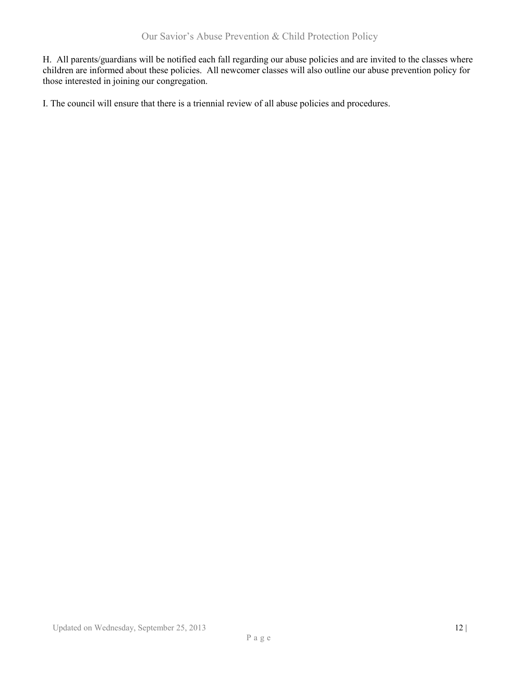H. All parents/guardians will be notified each fall regarding our abuse policies and are invited to the classes where children are informed about these policies. All newcomer classes will also outline our abuse prevention policy for those interested in joining our congregation.

I. The council will ensure that there is a triennial review of all abuse policies and procedures.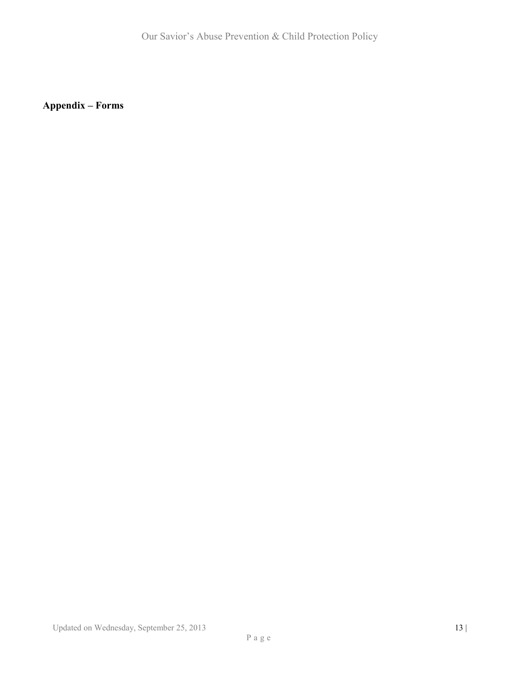**Appendix – Forms**